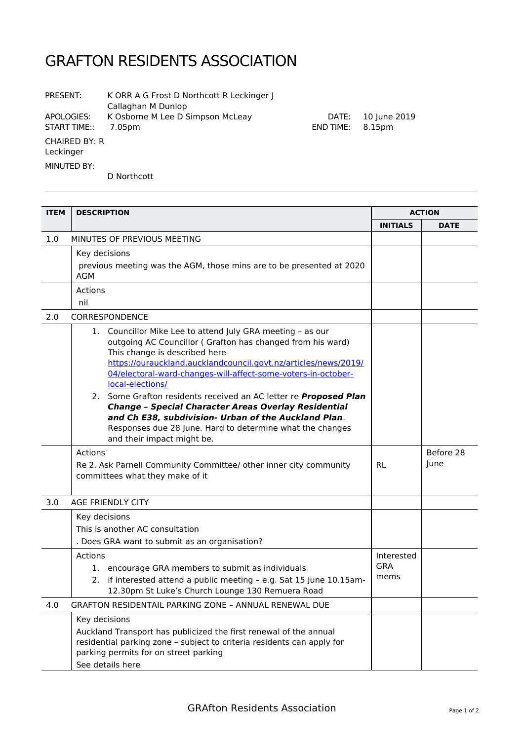## GRAFTON RESIDENTS ASSOCIATION

| PRESENT:                          | K ORR A G Frost D Northcott R Leckinger J<br>Callaghan M Dunlop |                    |                        |
|-----------------------------------|-----------------------------------------------------------------|--------------------|------------------------|
| APOLOGIES:<br>START TIME::        | K Osborne M Lee D Simpson McLeay<br>7.05pm                      | DATE:<br>END TIME: | 10 June 2019<br>8.15pm |
| <b>CHAIRED BY: R</b><br>Leckinger |                                                                 |                    |                        |
| MINUTED BY:                       | D Northcott                                                     |                    |                        |

**ITEM DESCRIPTION ACTION INITIALS DATE** 1.0 MINUTES OF PREVIOUS MEETING Key decisions previous meeting was the AGM, those mins are to be presented at 2020 AGM Actions nil 2.0 CORRESPONDENCE 1. Councillor Mike Lee to attend July GRA meeting – as our outgoing AC Councillor ( Grafton has changed from his ward) This change is described here [https://ourauckland.aucklandcouncil.govt.nz/articles/news/2019/](https://ourauckland.aucklandcouncil.govt.nz/articles/news/2019/04/electoral-ward-changes-will-affect-some-voters-in-october-local-elections/) [04/electoral-ward-changes-will-affect-some-voters-in-october](https://ourauckland.aucklandcouncil.govt.nz/articles/news/2019/04/electoral-ward-changes-will-affect-some-voters-in-october-local-elections/)[local-elections/](https://ourauckland.aucklandcouncil.govt.nz/articles/news/2019/04/electoral-ward-changes-will-affect-some-voters-in-october-local-elections/) 2. Some Grafton residents received an AC letter re **Proposed Plan Change – Special Character Areas Overlay Residential and Ch E38, subdivision- Urban of the Auckland Plan**. Responses due 28 June. Hard to determine what the changes and their impact might be. Actions Re 2. Ask Parnell Community Committee/ other inner city community committees what they make of it RL Before 28 June 3.0 AGE FRIENDLY CITY Key decisions This is another AC consultation . Does GRA want to submit as an organisation? Actions 1. encourage GRA members to submit as individuals 2. if interested attend a public meeting – e.g. Sat 15 June 10.15am-12.30pm St Luke's Church Lounge 130 Remuera Road Interested GRA mems 4.0 GRAFTON RESIDENTAIL PARKING ZONE – ANNUAL RENEWAL DUE Key decisions Auckland Transport has publicized the first renewal of the annual residential parking zone – subject to criteria residents can apply for parking permits for on street parking See details here